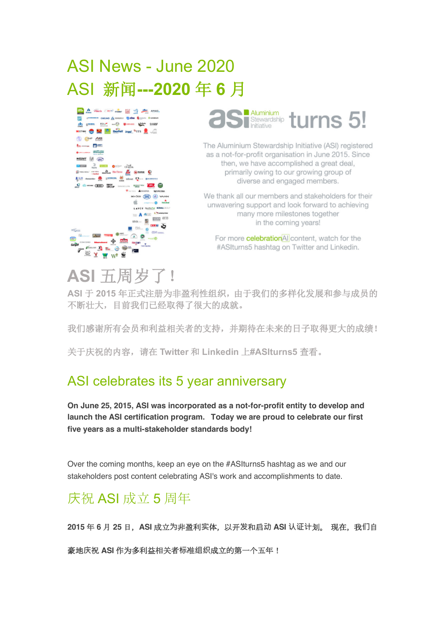# ASI News - June 2020 ASI 新闻**---2020** 年 **6** 月





The Aluminium Stewardship Initiative (ASI) registered as a not-for-profit organisation in June 2015. Since then, we have accomplished a great deal, primarily owing to our growing group of diverse and engaged members.

We thank all our members and stakeholders for their unwavering support and look forward to achieving many more milestones together in the coming years!

For more **celebration**AI content, watch for the #ASIturns5 hashtag on Twitter and Linkedin.

# **ASI** 五周岁了!

**ASI** 于 **2015** 年正式注册为非盈利性组织,由于我们的多样化发展和参与成员的 不断壮大,目前我们已经取得了很大的成就。

我们感谢所有会员和利益相关者的支持,并期待在未来的日子取得更大的成绩!

关于庆祝的内容,请在 **Twitter** 和 **Linkedin** 上**#ASIturns5** 查看。

## ASI celebrates its 5 year anniversary

**On June 25, 2015, ASI was incorporated as a not-for-profit entity to develop and launch the ASI certification program. Today we are proud to celebrate our first five years as a multi-stakeholder standards body!**

Over the coming months, keep an eye on the #ASIturns5 hashtag as we and our stakeholders post content celebrating ASI's work and accomplishments to date.

## 庆祝 ASI 成立 5 周年

**2015** 年 **6** 月 **25** 日,**ASI** 成立**为**非盈利**实**体,以开**发**和启**动 ASI 认证计**划。 现在,我**们**自

豪地**庆**祝 **ASI** 作为多利益相关者**标**准**组织**成立的第一个五年!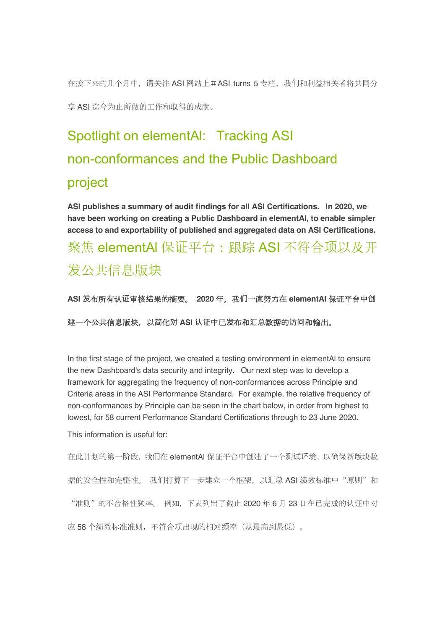在接下来的几个月中,请关注 ASI 网站上#ASI turns 5 专栏,我们和利益相关者将共同分 享 ASI 迄今为止所做的工作和取得的成就。

# Spotlight on elementAl: Tracking ASI non-conformances and the Public Dashboard project

**ASI publishes a summary of audit findings for all ASI Certifications. In 2020, we have been working on creating a Public Dashboard in elementAl, to enable simpler access to and exportability of published and aggregated data on ASI Certifications.** 聚焦 elementAl 保证平台: 跟踪 ASI 不符合项以及开 发公共信息版块

**ASI 发**布所有认**证**审核**结**果的摘要。 **2020** 年,我**们**一直努力在 **elementAl** 保证平台中**创**

建一个公共信息版块,以**简**化**对 ASI 认证**中已**发**布和**汇总**数据的**访问**和输出。

In the first stage of the project, we created a testing environment in elementAl to ensure the new Dashboard's data security and integrity. Our next step was to develop a framework for aggregating the frequency of non-conformances across Principle and Criteria areas in the ASI Performance Standard. For example, the relative frequency of non-conformances by Principle can be seen in the chart below, in order from highest to lowest, for 58 current Performance Standard Certifications through to 23 June 2020.

This information is useful for:

在此计划的第一阶段,我们在 elementAl 保证平台中创建了一个测试环境,以确保新版块数 据的安全性和完整性。 我们打算下一步建立一个框架, 以汇总 ASI 绩效标准中"原则"和 "准则"的不合格性频率。 例如,下表列出了截止 2020 年 6 月 23 日在已完成的认证中对 应 58 个绩效标准准则,不符合项出现的相对频率(从最高到最低)。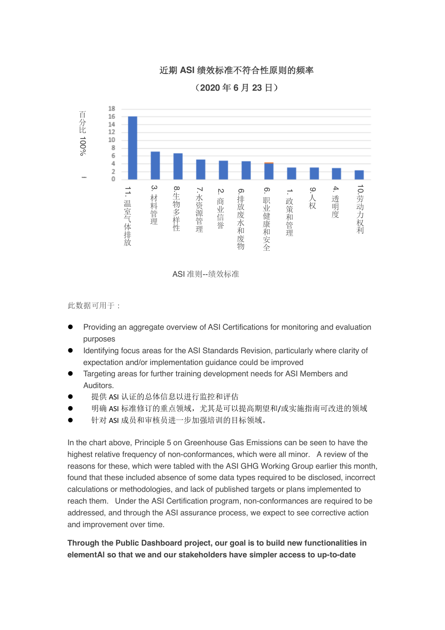### 近期 **ASI** 绩效标准不符合性原则的频率

(**2020** 年 **6** 月 **23** 日)



ASI 准则--绩效标准

此数据可用于:

- **•** Providing an aggregate overview of ASI Certifications for monitoring and evaluation purposes
- l Identifying focus areas for the ASI Standards Revision, particularly where clarity of expectation and/or implementation guidance could be improved
- Targeting areas for further training development needs for ASI Members and Auditors.
- 提供 ASI 认证的总体信息以进行监控和评估
- 明确 ASI 标准修订的重点领域,尤其是可以提高期望和/或实施指南可改进的领域
- 针对 ASI 成员和审核员进一步加强培训的目标领域。

In the chart above, Principle 5 on Greenhouse Gas Emissions can be seen to have the highest relative frequency of non-conformances, which were all minor. A review of the reasons for these, which were tabled with the ASI GHG Working Group earlier this month, found that these included absence of some data types required to be disclosed, incorrect calculations or methodologies, and lack of published targets or plans implemented to reach them. Under the ASI Certification program, non-conformances are required to be addressed, and through the ASI assurance process, we expect to see corrective action and improvement over time.

### **Through the Public Dashboard project, our goal is to build new functionalities in elementAl so that we and our stakeholders have simpler access to up-to-date**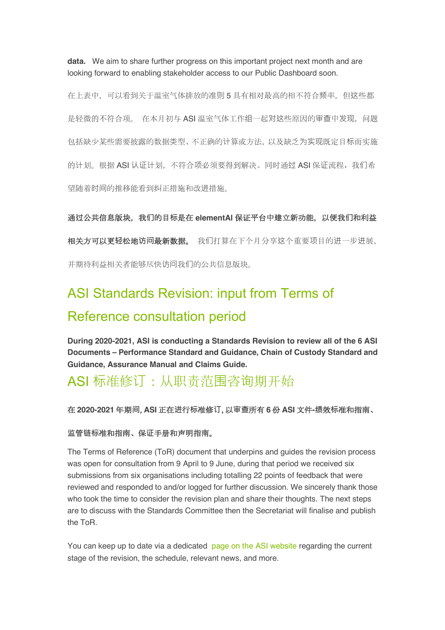**data.** We aim to share further progress on this important project next month and are looking forward to enabling stakeholder access to our Public Dashboard soon.

在上表中,可以看到关于温室气体排放的准则 5 具有相对最高的相不符合频率,但这些都 是轻微的不符合项。 在本月初与 ASI 温室气体工作组一起对这些原因的审查中发现, 问题 包括缺少某些需要披露的数据类型、不正确的计算或方法,以及缺乏为实现既定目标而实施 的计划。根据 ASI 认证计划,不符合项必须要得到解决。同时通过 ASI 保证流程, 我们希 望随着时间的推移能看到纠正措施和改进措施。

通**过**公共信息版块,我**们**的目**标**是在 **elementAl** 保证平台中建立新功能,以便我**们**和利益 相关方可以更**轻**松地**访问**最新数据。 我们打算在下个月分享这个重要项目的进一步进展, 并期待利益相关者能够尽快访问我们的公共信息版块。

## ASI Standards Revision: input from Terms of Reference consultation period

**During 2020-2021, ASI is conducting a Standards Revision to review all of the 6 ASI Documents – Performance Standard and Guidance, Chain of Custody Standard and Guidance, Assurance Manual and Claims Guide.**

## ASI 标准修订:从职责范围咨询期开始

#### 在 **2020-2021** 年期**间**,**ASI** 正在**进**行**标**准修**订**,以**审查**所有 **6** 份 **ASI** 文件**-绩**效**标**准和指南、

#### **监**管**链标**准和指南、保**证**手册和声明指南。

The Terms of Reference (ToR) document that underpins and guides the revision process was open for consultation from 9 April to 9 June, during that period we received six submissions from six organisations including totalling 22 points of feedback that were reviewed and responded to and/or logged for further discussion. We sincerely thank those who took the time to consider the revision plan and share their thoughts. The next steps are to discuss with the Standards Committee then the Secretariat will finalise and publish the ToR.

You can keep up to date via a dedicated page on the ASI website regarding the current stage of the revision, the schedule, relevant news, and more.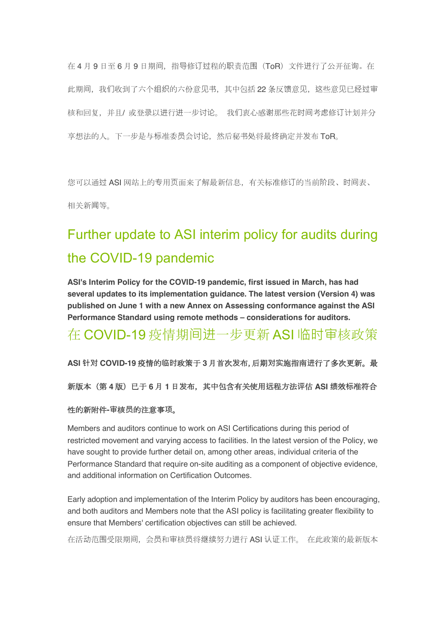在 4 月 9 日至 6 月 9 日期间, 指导修订过程的职责范围 (ToR) 文件进行了公开征询。在 此期间,我们收到了六个组织的六份意见书,其中包括 22 条反馈意见,这些意见已经过审 核和回复,并且/ 或登录以进行进一步讨论。 我们衷心感谢那些花时间考虑修订计划并分 享想法的人。下一步是与标准委员会讨论,然后秘书处将最终确定并发布 ToR。

您可以通过 ASI 网站上的专用页面来了解最新信息, 有关标准修订的当前阶段、时间表、 相关新闻等。

# Further update to ASI interim policy for audits during the COVID-19 pandemic

**ASI's Interim Policy for the COVID-19 pandemic, first issued in March, has had several updates to its implementation guidance. The latest version (Version 4) was published on June 1 with a new Annex on Assessing conformance against the ASI Performance Standard using remote methods – considerations for auditors.**

### 在 COVID-19 疫情期间进一步更新 ASI 临时审核政策

**ASI 针对 COVID-19** 疫情的**临时**政策于 **3** 月首次**发**布,后期**对实**施指南**进**行了多次更新。最

新版本(第 **4** 版)已于 **6** 月 **1** 日**发**布,其中包含有关使用**远**程方法**评**估 **ASI 绩**效**标**准符合

#### 性的新附件**-审**核**员**的注意事**项**。

Members and auditors continue to work on ASI Certifications during this period of restricted movement and varying access to facilities. In the latest version of the Policy, we have sought to provide further detail on, among other areas, individual criteria of the Performance Standard that require on-site auditing as a component of objective evidence, and additional information on Certification Outcomes.

Early adoption and implementation of the Interim Policy by auditors has been encouraging, and both auditors and Members note that the ASI policy is facilitating greater flexibility to ensure that Members' certification objectives can still be achieved.

在活动范围受限期间,会员和审核员将继续努力进行 ASI 认证工作。 在此政策的最新版本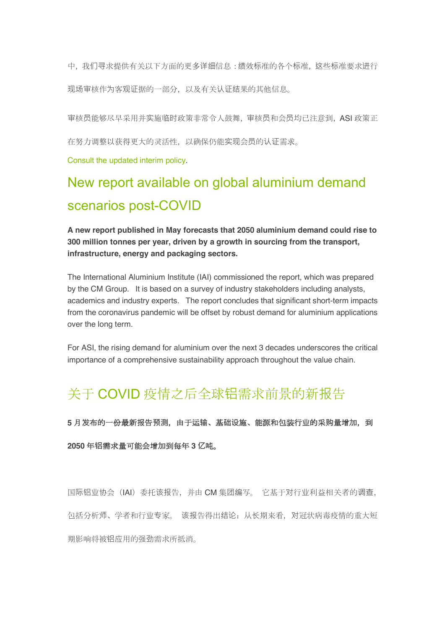中,我们寻求提供有关以下方面的更多详细信息:绩效标准的各个标准,这些标准要求进行 现场审核作为客观证据的一部分,以及有关认证结果的其他信息。

审核员能够尽早采用并实施临时政策非常令人鼓舞,审核员和会员均已注意到,ASI 政策正

在努力调整以获得更大的灵活性,以确保仍能实现会员的认证需求。

Consult the updated interim policy.

# New report available on global aluminium demand scenarios post-COVID

**A new report published in May forecasts that 2050 aluminium demand could rise to 300 million tonnes per year, driven by a growth in sourcing from the transport, infrastructure, energy and packaging sectors.**

The International Aluminium Institute (IAI) commissioned the report, which was prepared by the CM Group. It is based on a survey of industry stakeholders including analysts, academics and industry experts. The report concludes that significant short-term impacts from the coronavirus pandemic will be offset by robust demand for aluminium applications over the long term.

For ASI, the rising demand for aluminium over the next 3 decades underscores the critical importance of a comprehensive sustainability approach throughout the value chain.

## 关于 COVID 疫情之后全球铝需求前景的新报告

**5** 月**发**布的一份最新**报**告**预测**,由于运**输**、基**础设**施、能源和包装行**业**的采**购**量增加,到

#### **2050** 年**铝**需求量可能会增加到每年 **3 亿**吨。

国际铝业协会(IAI)委托该报告,并由 CM 集团编写。 它基于对行业利益相关者的调查, 包括分析师、学者和行业专家。 该报告得出结论:从长期来看,对冠状病毒疫情的重大短 期影响将被铝应用的强劲需求所抵消。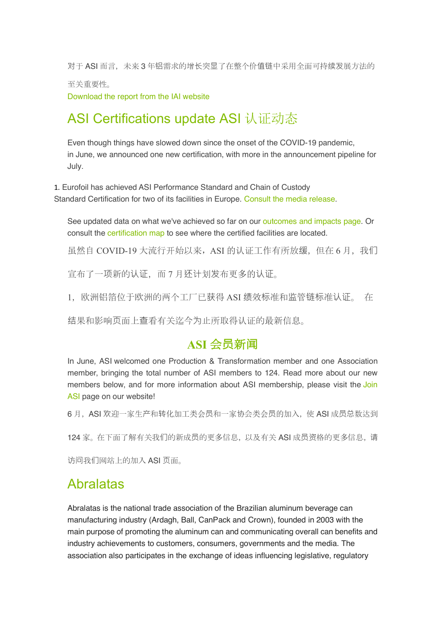对于 ASI 而言, 未来 3 年铝需求的增长突显了在整个价值链中采用全面可持续发展方法的

至关重要性。

Download the report from the IAI website

## ASI Certifications update ASI 认证动态

Even though things have slowed down since the onset of the COVID-19 pandemic, in June, we announced one new certification, with more in the announcement pipeline for July.

1. Eurofoil has achieved ASI Performance Standard and Chain of Custody Standard Certification for two of its facilities in Europe. Consult the media release.

See updated data on what we've achieved so far on our outcomes and impacts page. Or consult the certification map to see where the certified facilities are located.

虽然自 COVID-19 大流行开始以来, ASI 的认证工作有所放缓, 但在 6 月, 我们

宣布了一项新的认证,而 7 月还计划发布更多的认证。

1,欧洲铝箔位于欧洲的两个工厂已获得 ASI 绩效标准和监管链标准认证。 在

结果和影响页面上查看有关迄今为止所取得认证的最新信息。

### **ASI** 会**员**新**闻**

In June, ASI welcomed one Production & Transformation member and one Association member, bringing the total number of ASI members to 124. Read more about our new members below, and for more information about ASI membership, please visit the Join ASI page on our website!

6 月, ASI 欢迎一家生产和转化加工类会员和一家协会类会员的加入, 使 ASI 成员总数达到

124 家。在下面了解有关我们的新成员的更多信息, 以及有关 ASI 成员资格的更多信息, 请

访问我们网站上的加入 ASI 页面。

### Abralatas

Abralatas is the national trade association of the Brazilian aluminum beverage can manufacturing industry (Ardagh, Ball, CanPack and Crown), founded in 2003 with the main purpose of promoting the aluminum can and communicating overall can benefits and industry achievements to customers, consumers, governments and the media. The association also participates in the exchange of ideas influencing legislative, regulatory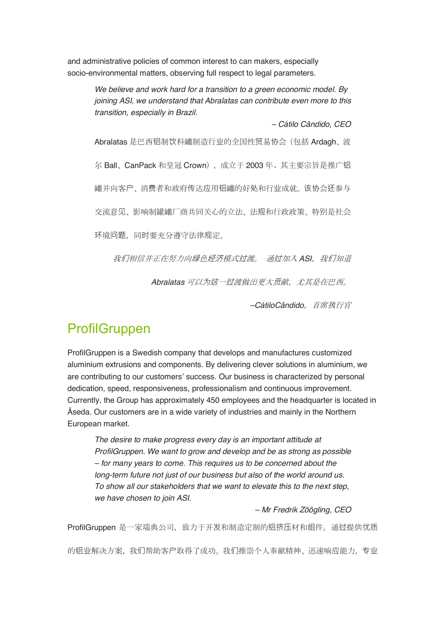and administrative policies of common interest to can makers, especially socio-environmental matters, observing full respect to legal parameters.

> *We believe and work hard for a transition to a green economic model. By joining ASI, we understand that Abralatas can contribute even more to this transition, especially in Brazil.*

> > *– Cátilo Cândido, CEO*

Abralatas 是巴西铝制饮料罐制造行业的全国性贸易协会(包括 Ardagh、波 尔 Ball、CanPack 和皇冠 Crown),成立于 2003 年。其主要宗旨是推广铝 罐并向客户、消费者和政府传达应用铝罐的好处和行业成就。该协会还参与 交流意见、影响制罐罐厂商共同关心的立法、法规和行政政策、特别是社会 环境问题,同时要充分遵守法律规定。

我们相信并正在努力向绿色经济模式过渡。 通过加入 ASI, 我们知道

Abralatas 可以为这一过渡做出更大贡献,尤其是在巴西。

*–CátiloCândido*,首席执行官

## **ProfilGruppen**

ProfilGruppen is a Swedish company that develops and manufactures customized aluminium extrusions and components. By delivering clever solutions in aluminium, we are contributing to our customers' success. Our business is characterized by personal dedication, speed, responsiveness, professionalism and continuous improvement. Currently, the Group has approximately 450 employees and the headquarter is located in Åseda. Our customers are in a wide variety of industries and mainly in the Northern European market.

*The desire to make progress every day is an important attitude at ProfilGruppen. We want to grow and develop and be as strong as possible – for many years to come. This requires us to be concerned about the long-term future not just of our business but also of the world around us. To show all our stakeholders that we want to elevate this to the next step, we have chosen to join ASI.*

#### *– Mr Fredrik Zöögling, CEO*

ProfilGruppen 是一家瑞典公司, 致力于开发和制造定制的铝挤压材和组件。通过提供优质

的铝业解决方案,我们帮助客户取得了成功。我们推崇个人奉献精神、迅速响应能力,专业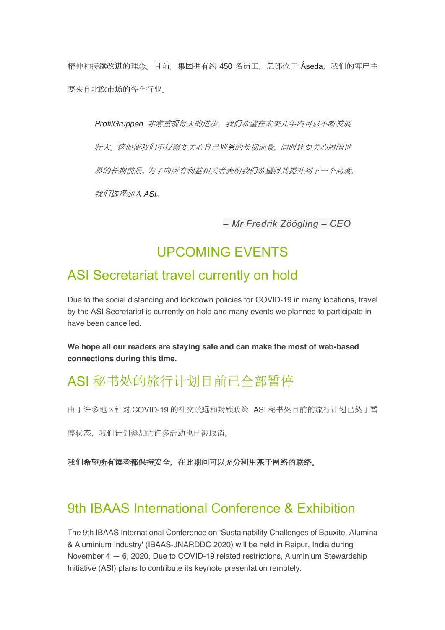精神和持续改进的理念。目前, 集团拥有约 450 名员工, 总部位于 Åseda, 我们的客户主 要来自北欧市场的各个行业。

ProfilGruppen 非常重视每天的进步, 我们希望在未来几年内可以不断发展 壮大。这促使我们不仅需要关心自己业务的长期前景,同时还要关心周围世 界的长期前景。为了向所有利益相关者表明我们希望将其提升到下一个高度, 我们选择加入 *ASI*。

*– Mr Fredrik Zöögling – CEO*

## UPCOMING EVENTS

### ASI Secretariat travel currently on hold

Due to the social distancing and lockdown policies for COVID-19 in many locations, travel by the ASI Secretariat is currently on hold and many events we planned to participate in have been cancelled.

**We hope all our readers are staying safe and can make the most of web-based connections during this time.**

## ASI 秘书处的旅行计划目前已全部暂停

由于许多地区针对 COVID-19 的社交疏远和封锁政策,ASI 秘书处目前的旅行计划已处于暂

停状态,我们计划参加的许多活动也已被取消。

我**们**希望所有**读**者都保持安全,在此期**间**可以充分利用基于网络的联络。

## 9th IBAAS International Conference & Exhibition

The 9th IBAAS International Conference on 'Sustainability Challenges of Bauxite, Alumina & Aluminium Industry' (IBAAS-JNARDDC 2020) will be held in Raipur, India during November 4 — 6, 2020. Due to COVID-19 related restrictions, Aluminium Stewardship Initiative (ASI) plans to contribute its keynote presentation remotely.